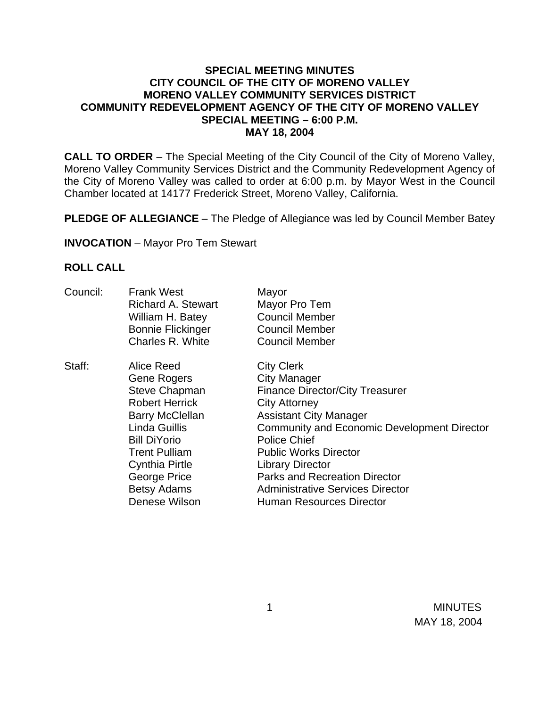## **SPECIAL MEETING MINUTES CITY COUNCIL OF THE CITY OF MORENO VALLEY MORENO VALLEY COMMUNITY SERVICES DISTRICT COMMUNITY REDEVELOPMENT AGENCY OF THE CITY OF MORENO VALLEY SPECIAL MEETING – 6:00 P.M. MAY 18, 2004**

**CALL TO ORDER** – The Special Meeting of the City Council of the City of Moreno Valley, Moreno Valley Community Services District and the Community Redevelopment Agency of the City of Moreno Valley was called to order at 6:00 p.m. by Mayor West in the Council Chamber located at 14177 Frederick Street, Moreno Valley, California.

**PLEDGE OF ALLEGIANCE** – The Pledge of Allegiance was led by Council Member Batey

**INVOCATION** – Mayor Pro Tem Stewart

## **ROLL CALL**

| Council: | <b>Frank West</b><br><b>Richard A. Stewart</b><br>William H. Batey<br><b>Bonnie Flickinger</b><br>Charles R. White                                                                                                                                          | Mayor<br>Mayor Pro Tem<br><b>Council Member</b><br><b>Council Member</b><br><b>Council Member</b>                                                                                                                                                                                                                                                                                                         |
|----------|-------------------------------------------------------------------------------------------------------------------------------------------------------------------------------------------------------------------------------------------------------------|-----------------------------------------------------------------------------------------------------------------------------------------------------------------------------------------------------------------------------------------------------------------------------------------------------------------------------------------------------------------------------------------------------------|
| Staff:   | Alice Reed<br>Gene Rogers<br><b>Steve Chapman</b><br><b>Robert Herrick</b><br><b>Barry McClellan</b><br><b>Linda Guillis</b><br><b>Bill DiYorio</b><br><b>Trent Pulliam</b><br><b>Cynthia Pirtle</b><br>George Price<br><b>Betsy Adams</b><br>Denese Wilson | <b>City Clerk</b><br><b>City Manager</b><br><b>Finance Director/City Treasurer</b><br><b>City Attorney</b><br><b>Assistant City Manager</b><br><b>Community and Economic Development Director</b><br><b>Police Chief</b><br><b>Public Works Director</b><br><b>Library Director</b><br><b>Parks and Recreation Director</b><br><b>Administrative Services Director</b><br><b>Human Resources Director</b> |